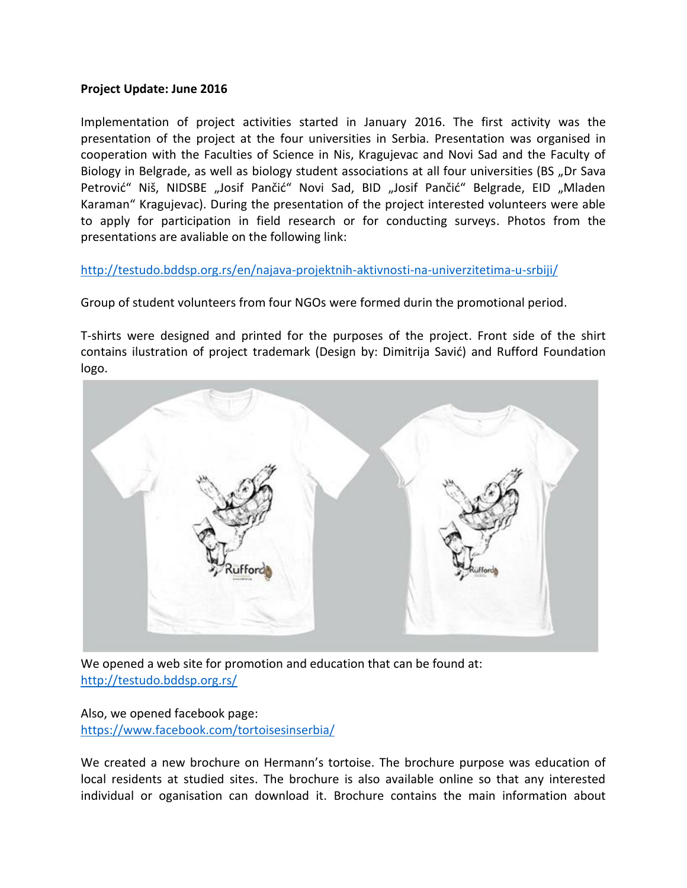## **Project Update: June 2016**

Implementation of project activities started in January 2016. The first activity was the presentation of the project at the four universities in Serbia. Presentation was organised in cooperation with the Faculties of Science in Nis, Kragujevac and Novi Sad and the Faculty of Biology in Belgrade, as well as biology student associations at all four universities (BS "Dr Sava Petrović" Niš, NIDSBE "Josif Pančić" Novi Sad, BID "Josif Pančić" Belgrade, EID "Mladen Karaman" Kragujevac). During the presentation of the project interested volunteers were able to apply for participation in field research or for conducting surveys. Photos from the presentations are avaliable on the following link:

<http://testudo.bddsp.org.rs/en/najava-projektnih-aktivnosti-na-univerzitetima-u-srbiji/>

Group of student volunteers from four NGOs were formed durin the promotional period.

T-shirts were designed and printed for the purposes of the project. Front side of the shirt contains ilustration of project trademark (Design by: Dimitrija Savić) and Rufford Foundation logo.



We opened a web site for promotion and education that can be found at: <http://testudo.bddsp.org.rs/>

Also, we opened facebook page: <https://www.facebook.com/tortoisesinserbia/>

We created a new brochure on Hermann's tortoise. The brochure purpose was education of local residents at studied sites. The brochure is also available online so that any interested individual or oganisation can download it. Brochure contains the main information about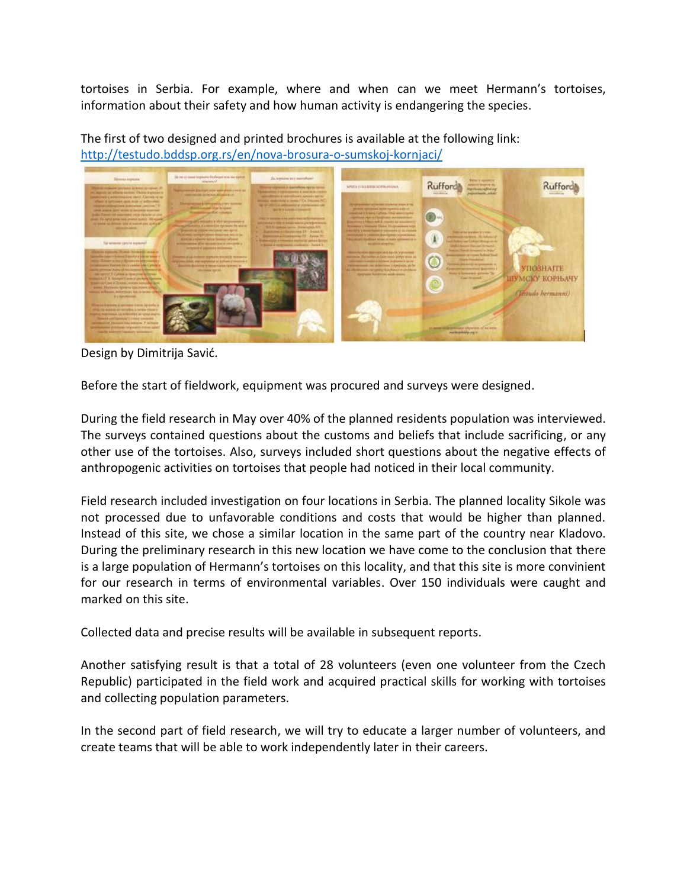tortoises in Serbia. For example, where and when can we meet Hermann's tortoises, information about their safety and how human activity is endangering the species.

Rufford **Rufford** ۸ **КУ КОРЊАЧУ** tudo hermanni)

The first of two designed and printed brochures is available at the following link: <http://testudo.bddsp.org.rs/en/nova-brosura-o-sumskoj-kornjaci/>

Design by Dimitrija Savić.

Before the start of fieldwork, equipment was procured and surveys were designed.

During the field research in May over 40% of the planned residents population was interviewed. The surveys contained questions about the customs and beliefs that include sacrificing, or any other use of the tortoises. Also, surveys included short questions about the negative effects of anthropogenic activities on tortoises that people had noticed in their local community.

Field research included investigation on four locations in Serbia. The planned locality Sikole was not processed due to unfavorable conditions and costs that would be higher than planned. Instead of this site, we chose a similar location in the same part of the country near Kladovo. During the preliminary research in this new location we have come to the conclusion that there is a large population of Hermann's tortoises on this locality, and that this site is more convinient for our research in terms of environmental variables. Over 150 individuals were caught and marked on this site.

Collected data and precise results will be available in subsequent reports.

Another satisfying result is that a total of 28 volunteers (even one volunteer from the Czech Republic) participated in the field work and acquired practical skills for working with tortoises and collecting population parameters.

In the second part of field research, we will try to educate a larger number of volunteers, and create teams that will be able to work independently later in their careers.